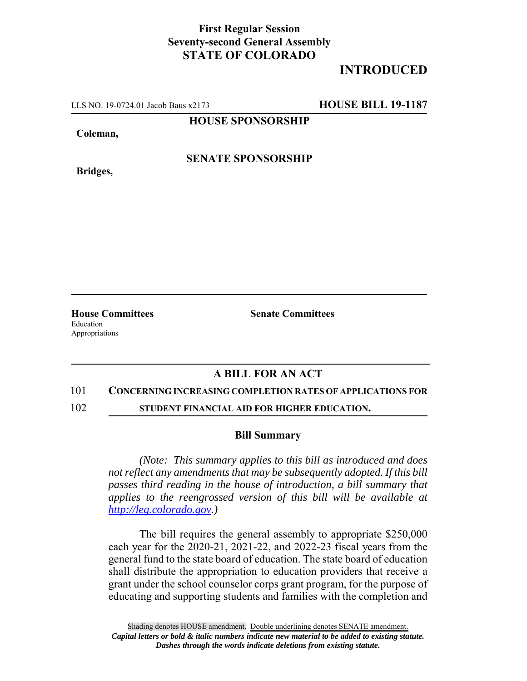## **First Regular Session Seventy-second General Assembly STATE OF COLORADO**

# **INTRODUCED**

LLS NO. 19-0724.01 Jacob Baus x2173 **HOUSE BILL 19-1187**

**HOUSE SPONSORSHIP**

**Coleman,**

**Bridges,**

**SENATE SPONSORSHIP**

**House Committees Senate Committees** Education Appropriations

### **A BILL FOR AN ACT**

#### 101 **CONCERNING INCREASING COMPLETION RATES OF APPLICATIONS FOR**

102 **STUDENT FINANCIAL AID FOR HIGHER EDUCATION.**

### **Bill Summary**

*(Note: This summary applies to this bill as introduced and does not reflect any amendments that may be subsequently adopted. If this bill passes third reading in the house of introduction, a bill summary that applies to the reengrossed version of this bill will be available at http://leg.colorado.gov.)*

The bill requires the general assembly to appropriate \$250,000 each year for the 2020-21, 2021-22, and 2022-23 fiscal years from the general fund to the state board of education. The state board of education shall distribute the appropriation to education providers that receive a grant under the school counselor corps grant program, for the purpose of educating and supporting students and families with the completion and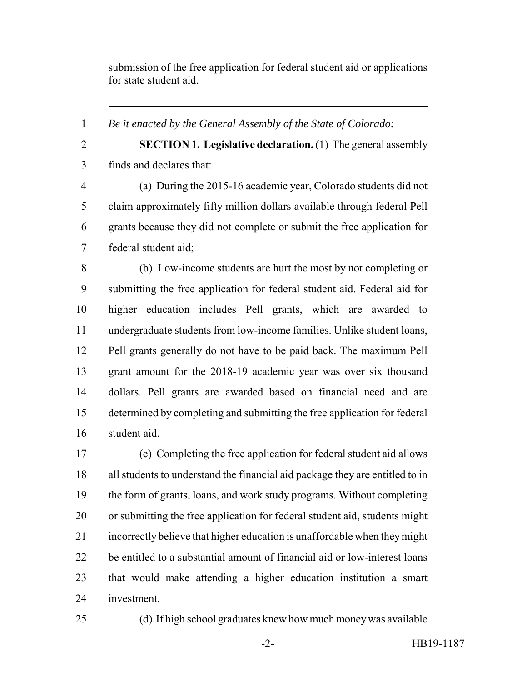submission of the free application for federal student aid or applications for state student aid.

*Be it enacted by the General Assembly of the State of Colorado:*

 **SECTION 1. Legislative declaration.** (1) The general assembly finds and declares that:

 (a) During the 2015-16 academic year, Colorado students did not claim approximately fifty million dollars available through federal Pell grants because they did not complete or submit the free application for federal student aid;

 (b) Low-income students are hurt the most by not completing or submitting the free application for federal student aid. Federal aid for higher education includes Pell grants, which are awarded to undergraduate students from low-income families. Unlike student loans, Pell grants generally do not have to be paid back. The maximum Pell grant amount for the 2018-19 academic year was over six thousand dollars. Pell grants are awarded based on financial need and are determined by completing and submitting the free application for federal student aid.

 (c) Completing the free application for federal student aid allows all students to understand the financial aid package they are entitled to in the form of grants, loans, and work study programs. Without completing or submitting the free application for federal student aid, students might incorrectly believe that higher education is unaffordable when they might be entitled to a substantial amount of financial aid or low-interest loans that would make attending a higher education institution a smart investment.

(d) If high school graduates knew how much money was available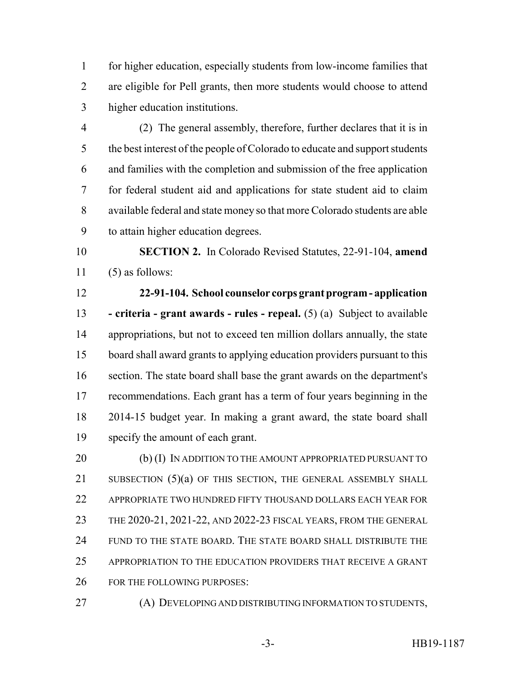for higher education, especially students from low-income families that are eligible for Pell grants, then more students would choose to attend higher education institutions.

 (2) The general assembly, therefore, further declares that it is in the best interest of the people of Colorado to educate and support students and families with the completion and submission of the free application for federal student aid and applications for state student aid to claim available federal and state money so that more Colorado students are able to attain higher education degrees.

 **SECTION 2.** In Colorado Revised Statutes, 22-91-104, **amend** (5) as follows:

 **22-91-104. School counselor corps grant program - application - criteria - grant awards - rules - repeal.** (5) (a) Subject to available appropriations, but not to exceed ten million dollars annually, the state board shall award grants to applying education providers pursuant to this section. The state board shall base the grant awards on the department's recommendations. Each grant has a term of four years beginning in the 2014-15 budget year. In making a grant award, the state board shall specify the amount of each grant.

20 (b) (I) IN ADDITION TO THE AMOUNT APPROPRIATED PURSUANT TO 21 SUBSECTION (5)(a) OF THIS SECTION, THE GENERAL ASSEMBLY SHALL APPROPRIATE TWO HUNDRED FIFTY THOUSAND DOLLARS EACH YEAR FOR THE 2020-21, 2021-22, AND 2022-23 FISCAL YEARS, FROM THE GENERAL FUND TO THE STATE BOARD. THE STATE BOARD SHALL DISTRIBUTE THE APPROPRIATION TO THE EDUCATION PROVIDERS THAT RECEIVE A GRANT FOR THE FOLLOWING PURPOSES:

(A) DEVELOPING AND DISTRIBUTING INFORMATION TO STUDENTS,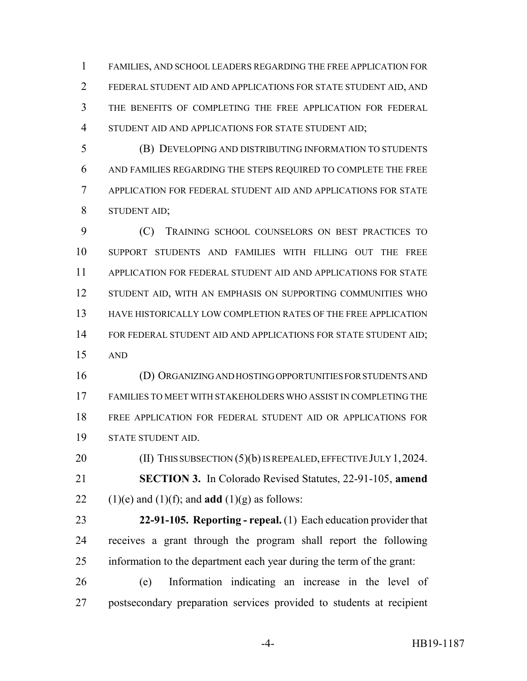FAMILIES, AND SCHOOL LEADERS REGARDING THE FREE APPLICATION FOR FEDERAL STUDENT AID AND APPLICATIONS FOR STATE STUDENT AID, AND THE BENEFITS OF COMPLETING THE FREE APPLICATION FOR FEDERAL STUDENT AID AND APPLICATIONS FOR STATE STUDENT AID;

 (B) DEVELOPING AND DISTRIBUTING INFORMATION TO STUDENTS AND FAMILIES REGARDING THE STEPS REQUIRED TO COMPLETE THE FREE APPLICATION FOR FEDERAL STUDENT AID AND APPLICATIONS FOR STATE STUDENT AID;

 (C) TRAINING SCHOOL COUNSELORS ON BEST PRACTICES TO SUPPORT STUDENTS AND FAMILIES WITH FILLING OUT THE FREE APPLICATION FOR FEDERAL STUDENT AID AND APPLICATIONS FOR STATE 12 STUDENT AID, WITH AN EMPHASIS ON SUPPORTING COMMUNITIES WHO HAVE HISTORICALLY LOW COMPLETION RATES OF THE FREE APPLICATION 14 FOR FEDERAL STUDENT AID AND APPLICATIONS FOR STATE STUDENT AID; AND

 (D) ORGANIZING AND HOSTING OPPORTUNITIES FOR STUDENTS AND FAMILIES TO MEET WITH STAKEHOLDERS WHO ASSIST IN COMPLETING THE FREE APPLICATION FOR FEDERAL STUDENT AID OR APPLICATIONS FOR STATE STUDENT AID.

20 (II) THIS SUBSECTION (5)(b) IS REPEALED, EFFECTIVE JULY 1, 2024. **SECTION 3.** In Colorado Revised Statutes, 22-91-105, **amend** 22 (1)(e) and (1)(f); and **add** (1)(g) as follows:

 **22-91-105. Reporting - repeal.** (1) Each education provider that receives a grant through the program shall report the following information to the department each year during the term of the grant:

 (e) Information indicating an increase in the level of postsecondary preparation services provided to students at recipient